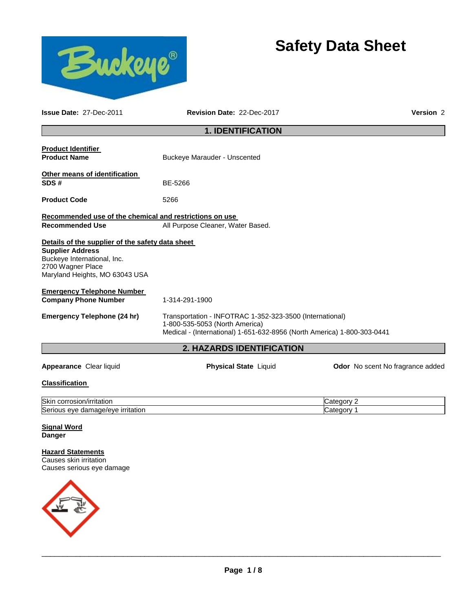

# **Safety Data Sheet**

**Issue Date:** 27-Dec-2011 **Revision Date:** 22-Dec-2017 **Version** 2 **1. IDENTIFICATION Product Identifier Product Name Buckeye Marauder - Unscented Other means of identification SDS #** BE-5266 **Product Code** 5266 **Recommended use of the chemical and restrictions on use**  Recommended Use **All Purpose Cleaner, Water Based. Details of the supplier of the safety data sheet Supplier Address** Buckeye International, Inc. 2700 Wagner Place Maryland Heights, MO 63043 USA **Emergency Telephone Number Company Phone Number** 1-314-291-1900 **Emergency Telephone (24 hr)** Transportation - INFOTRAC 1-352-323-3500 (International) 1-800-535-5053 (North America) Medical - (International) 1-651-632-8956 (North America) 1-800-303-0441 **2. HAZARDS IDENTIFICATION Appearance** Clear liquid **Physical State** Liquid **Odor** No scent No fragrance added **Classification**  Skin corrosion/irritation **Category 2** and Category 2 Serious eye damage/eye irritation Category 1 and Category 1

**Signal Word Danger** 

**Hazard Statements** Causes skin irritation Causes serious eye damage

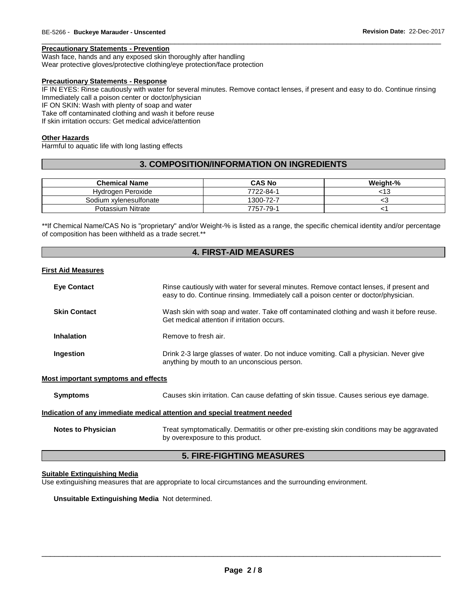#### **Precautionary Statements - Prevention**

Wash face, hands and any exposed skin thoroughly after handling

Wear protective gloves/protective clothing/eye protection/face protection

#### **Precautionary Statements - Response**

IF IN EYES: Rinse cautiously with water for several minutes. Remove contact lenses, if present and easy to do. Continue rinsing Immediately call a poison center or doctor/physician IF ON SKIN: Wash with plenty of soap and water

\_\_\_\_\_\_\_\_\_\_\_\_\_\_\_\_\_\_\_\_\_\_\_\_\_\_\_\_\_\_\_\_\_\_\_\_\_\_\_\_\_\_\_\_\_\_\_\_\_\_\_\_\_\_\_\_\_\_\_\_\_\_\_\_\_\_\_\_\_\_\_\_\_\_\_\_\_\_\_\_\_\_\_\_\_\_\_\_\_\_\_\_\_

Take off contaminated clothing and wash it before reuse

If skin irritation occurs: Get medical advice/attention

#### **Other Hazards**

Harmful to aquatic life with long lasting effects

### **3. COMPOSITION/INFORMATION ON INGREDIENTS**

| <b>Chemical Name</b>   | <b>CAS No</b> | Weight-% |
|------------------------|---------------|----------|
| Hydrogen Peroxide      | 7722-84-1     | 13ء      |
| Sodium xylenesulfonate | 1300-72-7     | ╰        |
| Potassium Nitrate      | 7757-79-1     |          |

\*\*If Chemical Name/CAS No is "proprietary" and/or Weight-% is listed as a range, the specific chemical identity and/or percentage of composition has been withheld as a trade secret.\*\*

### **4. FIRST-AID MEASURES**

### **First Aid Measures**

| <b>Eye Contact</b>                  | Rinse cautiously with water for several minutes. Remove contact lenses, if present and<br>easy to do. Continue rinsing. Immediately call a poison center or doctor/physician. |
|-------------------------------------|-------------------------------------------------------------------------------------------------------------------------------------------------------------------------------|
| <b>Skin Contact</b>                 | Wash skin with soap and water. Take off contaminated clothing and wash it before reuse.<br>Get medical attention if irritation occurs.                                        |
| <b>Inhalation</b>                   | Remove to fresh air.                                                                                                                                                          |
| Ingestion                           | Drink 2-3 large glasses of water. Do not induce vomiting. Call a physician. Never give<br>anything by mouth to an unconscious person.                                         |
| Most important symptoms and effects |                                                                                                                                                                               |
| <b>Symptoms</b>                     | Causes skin irritation. Can cause defatting of skin tissue. Causes serious eye damage.                                                                                        |
|                                     | Indication of any immediate medical attention and special treatment needed                                                                                                    |
|                                     |                                                                                                                                                                               |

**Notes to Physician** Treat symptomatically. Dermatitis or other pre-existing skin conditions may be aggravated by overexposure to this product.

### **5. FIRE-FIGHTING MEASURES**

#### **Suitable Extinguishing Media**

Use extinguishing measures that are appropriate to local circumstances and the surrounding environment.

**Unsuitable Extinguishing Media** Not determined.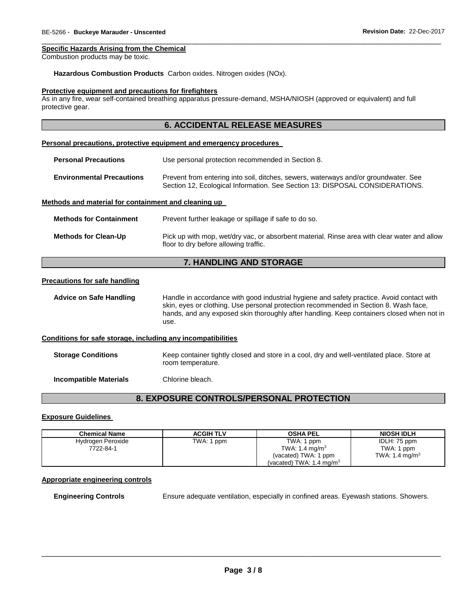#### **Specific Hazards Arising from the Chemical**

Combustion products may be toxic.

#### **Hazardous Combustion Products** Carbon oxides. Nitrogen oxides (NOx).

#### **Protective equipment and precautions for firefighters**

As in any fire, wear self-contained breathing apparatus pressure-demand, MSHA/NIOSH (approved or equivalent) and full protective gear.

\_\_\_\_\_\_\_\_\_\_\_\_\_\_\_\_\_\_\_\_\_\_\_\_\_\_\_\_\_\_\_\_\_\_\_\_\_\_\_\_\_\_\_\_\_\_\_\_\_\_\_\_\_\_\_\_\_\_\_\_\_\_\_\_\_\_\_\_\_\_\_\_\_\_\_\_\_\_\_\_\_\_\_\_\_\_\_\_\_\_\_\_\_

| <b>6. ACCIDENTAL RELEASE MEASURES</b>                               |                                                                                                                                                                     |  |  |
|---------------------------------------------------------------------|---------------------------------------------------------------------------------------------------------------------------------------------------------------------|--|--|
| Personal precautions, protective equipment and emergency procedures |                                                                                                                                                                     |  |  |
| <b>Personal Precautions</b>                                         | Use personal protection recommended in Section 8.                                                                                                                   |  |  |
| <b>Environmental Precautions</b>                                    | Prevent from entering into soil, ditches, sewers, waterways and/or groundwater. See<br>Section 12, Ecological Information. See Section 13: DISPOSAL CONSIDERATIONS. |  |  |
| Methods and material for containment and cleaning up                |                                                                                                                                                                     |  |  |
| <b>Methods for Containment</b>                                      | Prevent further leakage or spillage if safe to do so.                                                                                                               |  |  |
| <b>Methods for Clean-Up</b>                                         | Pick up with mop, wet/dry vac, or absorbent material. Rinse area with clear water and allow<br>floor to dry before allowing traffic.                                |  |  |

### **7. HANDLING AND STORAGE**

#### **Precautions for safe handling**

**Advice on Safe Handling** Handle in accordance with good industrial hygiene and safety practice. Avoid contact with skin, eyes or clothing. Use personal protection recommended in Section 8. Wash face, hands, and any exposed skin thoroughly after handling. Keep containers closed when not in use.

#### **Conditions for safe storage, including any incompatibilities**

**Storage Conditions** Keep container tightly closed and store in a cool, dry and well-ventilated place. Store at room temperature.

**Incompatible Materials** Chlorine bleach.

### **8. EXPOSURE CONTROLS/PERSONAL PROTECTION**

#### **Exposure Guidelines**

| Chemical Name     | <b>ACGIH TLV</b> | <b>OSHA PEL</b>                     | <b>NIOSH IDLH</b>          |
|-------------------|------------------|-------------------------------------|----------------------------|
| Hydrogen Peroxide | TWA: 1 ppm       | TWA: 1 ppm                          | IDLH: 75 ppm               |
| 7722-84-1         |                  | TWA: 1.4 mg/m <sup>3</sup>          | TWA: 1 ppm                 |
|                   |                  | (vacated) TWA: 1 ppm                | TWA: 1.4 mg/m <sup>3</sup> |
|                   |                  | (vacated) TWA: $1.4 \text{ mg/m}^3$ |                            |

### **Appropriate engineering controls**

**Engineering Controls** Ensure adequate ventilation, especially in confined areas. Eyewash stations. Showers.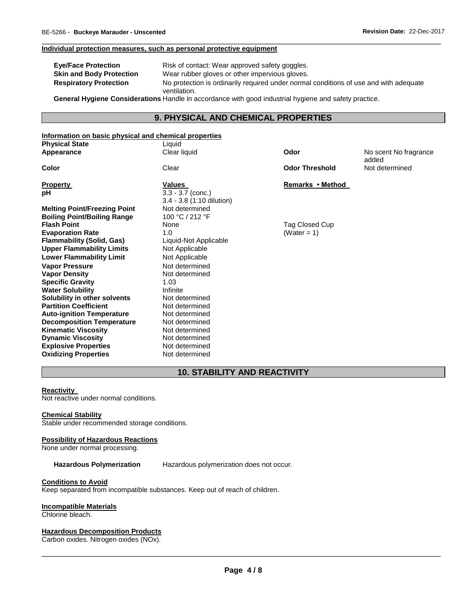#### **Individual protection measures, such as personal protective equipment**

| <b>Eye/Face Protection</b>      | Risk of contact: Wear approved safety goggles.                                                                                                                                                                                 |
|---------------------------------|--------------------------------------------------------------------------------------------------------------------------------------------------------------------------------------------------------------------------------|
| <b>Skin and Body Protection</b> | Wear rubber gloves or other impervious gloves.                                                                                                                                                                                 |
| <b>Respiratory Protection</b>   | No protection is ordinarily required under normal conditions of use and with adequate                                                                                                                                          |
|                                 | ventilation.                                                                                                                                                                                                                   |
|                                 | Associated the contract of the contract of the contract of the contract of the contract of the contract of the contract of the contract of the contract of the contract of the contract of the contract of the contract of the |

\_\_\_\_\_\_\_\_\_\_\_\_\_\_\_\_\_\_\_\_\_\_\_\_\_\_\_\_\_\_\_\_\_\_\_\_\_\_\_\_\_\_\_\_\_\_\_\_\_\_\_\_\_\_\_\_\_\_\_\_\_\_\_\_\_\_\_\_\_\_\_\_\_\_\_\_\_\_\_\_\_\_\_\_\_\_\_\_\_\_\_\_\_

**General Hygiene Considerations** Handle in accordance with good industrial hygiene and safety practice.

### **9. PHYSICAL AND CHEMICAL PROPERTIES**

### **Information on basic physical and chemical properties Physical State** Liquid **Appearance** Clear liquid **Odor** No scent No fragrance added **Color** Clear **Odor Threshold** Not determined **Property CONSIDERENT VALUES CONSIDERENT VALUES Remarks • Method pH** 3.3 - 3.7 (conc.) 3.4 - 3.8 (1:10 dilution) **Melting Point/Freezing Point 1998 Not determined Boiling Point/Boiling Range 100 °C / 212 °F Boiling Point/Boiling Range Flash Point Flag Closed Cup Point 2** Tag Closed Cup **Evaporation Rate 1.0 CONSERVING 1.0 CONSERVING (WATER 1) CONSERVING 1.0 CONSERVING 1.0 Flammability (Solid, Gas)** Liquid-Not Applicable **Upper Flammability Limits** Not Applicable **Lower Flammability Limit** Not Applicable **Vapor Pressure** Not determined **Vapor Density Specific Gravity** 1.03 **Water Solubility <b>Infinite** *Infinite*<br> **Solubility in other solvents Infinited** Not determined **Solubility in other solvents** and Mot determined<br> **Partition Coefficient Not determined Partition Coefficient Not determined**<br> **Auto-ignition Temperature** Not determined **Auto-ignition Temperature 6 Mot determined Note Construct Construct Construct Construct Construct Construct Co Decomposition Temperature Not determined**<br>**Kinematic Viscosity Not determined Kinematic Viscosity Dynamic Viscosity Not determined**

### **10. STABILITY AND REACTIVITY**

#### **Reactivity**

Not reactive under normal conditions.

#### **Chemical Stability**

Stable under recommended storage conditions.

**Explosive Properties** Not determined **Oxidizing Properties** Not determined

#### **Possibility of Hazardous Reactions**

None under normal processing.

**Hazardous Polymerization** Hazardous polymerization does not occur.

#### **Conditions to Avoid**

Keep separated from incompatible substances. Keep out of reach of children.

#### **Incompatible Materials**

Chlorine bleach.

#### **Hazardous Decomposition Products**

Carbon oxides. Nitrogen oxides (NOx).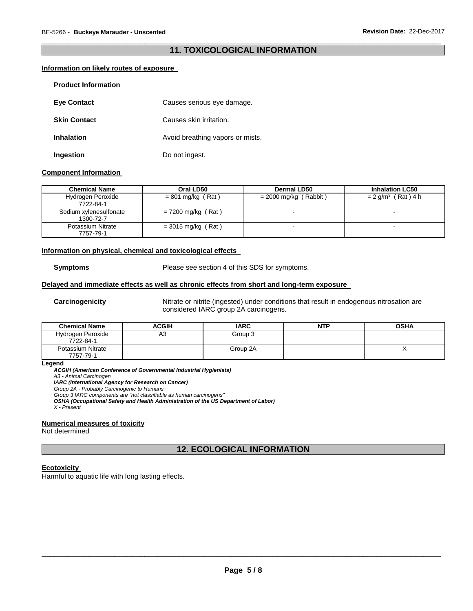### \_\_\_\_\_\_\_\_\_\_\_\_\_\_\_\_\_\_\_\_\_\_\_\_\_\_\_\_\_\_\_\_\_\_\_\_\_\_\_\_\_\_\_\_\_\_\_\_\_\_\_\_\_\_\_\_\_\_\_\_\_\_\_\_\_\_\_\_\_\_\_\_\_\_\_\_\_\_\_\_\_\_\_\_\_\_\_\_\_\_\_\_\_ **11. TOXICOLOGICAL INFORMATION**

### **Information on likely routes of exposure**

| <b>Product Information</b> |                                  |
|----------------------------|----------------------------------|
| <b>Eye Contact</b>         | Causes serious eye damage.       |
| <b>Skin Contact</b>        | Causes skin irritation.          |
| <b>Inhalation</b>          | Avoid breathing vapors or mists. |
| Ingestion                  | Do not ingest.                   |

#### **Component Information**

| <b>Chemical Name</b>                | Oral LD50            | <b>Dermal LD50</b>       | <b>Inhalation LC50</b>           |
|-------------------------------------|----------------------|--------------------------|----------------------------------|
| Hydrogen Peroxide<br>7722-84-1      | $= 801$ mg/kg (Rat)  | $= 2000$ mg/kg (Rabbit)  | $= 2$ g/m <sup>3</sup> (Rat) 4 h |
| Sodium xylenesulfonate<br>1300-72-7 | $= 7200$ mg/kg (Rat) | $\overline{\phantom{a}}$ |                                  |
| Potassium Nitrate<br>7757-79-1      | $= 3015$ mg/kg (Rat) |                          | $\overline{\phantom{a}}$         |

#### **Information on physical, chemical and toxicological effects**

**Symptoms** Please see section 4 of this SDS for symptoms.

### **Delayed and immediate effects as well as chronic effects from short and long-term exposure**

**Carcinogenicity** Nitrate or nitrite (ingested) under conditions that result in endogenous nitrosation are considered IARC group 2A carcinogens.

| <b>Chemical Name</b>           | ACGIH | <b>IARC</b> | <b>NTP</b> | <b>OSHA</b> |
|--------------------------------|-------|-------------|------------|-------------|
| Hydrogen Peroxide<br>7722-84-1 | A3    | Group 3     |            |             |
| Potassium Nitrate<br>7757-79-1 |       | Group 2A    |            |             |

**Legend** 

*ACGIH (American Conference of Governmental Industrial Hygienists)*

*A3 - Animal Carcinogen* 

*IARC (International Agency for Research on Cancer)*

*Group 2A - Probably Carcinogenic to Humans*

*Group 3 IARC components are "not classifiable as human carcinogens"* 

*OSHA (Occupational Safety and Health Administration of the US Department of Labor)*

*X - Present* 

#### **Numerical measures of toxicity**

Not determined

### **12. ECOLOGICAL INFORMATION**

#### **Ecotoxicity**

Harmful to aquatic life with long lasting effects.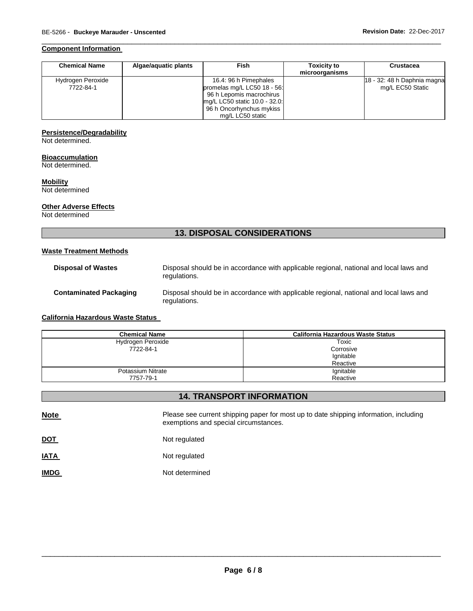#### **Component Information**

| <b>Chemical Name</b> | Algae/aguatic plants | <b>Fish</b>                   | <b>Toxicity to</b><br>microorganisms | <b>Crustacea</b>            |
|----------------------|----------------------|-------------------------------|--------------------------------------|-----------------------------|
| Hydrogen Peroxide    |                      | 16.4: 96 h Pimephales         |                                      | 18 - 32: 48 h Daphnia magna |
| 7722-84-1            |                      | promelas mg/L LC50 18 - 56:   |                                      | mg/L EC50 Static            |
|                      |                      | 96 h Lepomis macrochirus      |                                      |                             |
|                      |                      | mg/L LC50 static 10.0 - 32.0: |                                      |                             |
|                      |                      | 96 h Oncorhynchus mykiss      |                                      |                             |
|                      |                      | mg/L LC50 static              |                                      |                             |

\_\_\_\_\_\_\_\_\_\_\_\_\_\_\_\_\_\_\_\_\_\_\_\_\_\_\_\_\_\_\_\_\_\_\_\_\_\_\_\_\_\_\_\_\_\_\_\_\_\_\_\_\_\_\_\_\_\_\_\_\_\_\_\_\_\_\_\_\_\_\_\_\_\_\_\_\_\_\_\_\_\_\_\_\_\_\_\_\_\_\_\_\_

### **Persistence/Degradability**

Not determined.

#### **Bioaccumulation**

Not determined.

### **Mobility**

Not determined

### **Other Adverse Effects**

Not determined

## **13. DISPOSAL CONSIDERATIONS**

### **Waste Treatment Methods**

| <b>Disposal of Wastes</b>     | Disposal should be in accordance with applicable regional, national and local laws and<br>regulations. |
|-------------------------------|--------------------------------------------------------------------------------------------------------|
| <b>Contaminated Packaging</b> | Disposal should be in accordance with applicable regional, national and local laws and<br>regulations. |

### **California Hazardous Waste Status**

| <b>Chemical Name</b> | California Hazardous Waste Status |
|----------------------|-----------------------------------|
| Hydrogen Peroxide    | Toxic                             |
| 7722-84-1            | Corrosive                         |
|                      | Ignitable                         |
|                      | Reactive                          |
| Potassium Nitrate    | Ignitable                         |
| 7757-79-1            | Reactive                          |

### **14. TRANSPORT INFORMATION**

**Note Please see current shipping paper for most up to date shipping information, including** exemptions and special circumstances.

**DOT** Not regulated

| <b>IATA</b> | Not regulated |
|-------------|---------------|
|             |               |

**IMDG** Not determined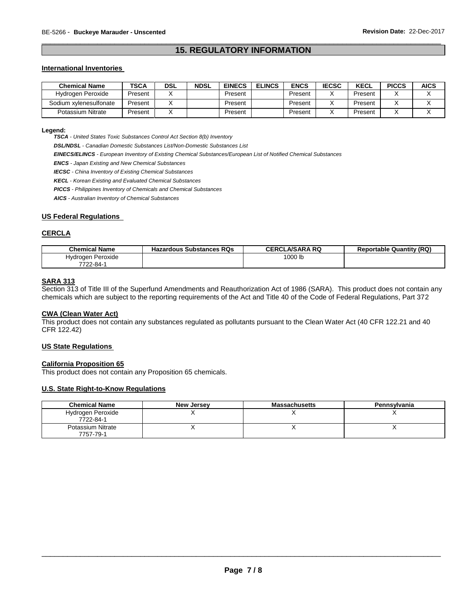### \_\_\_\_\_\_\_\_\_\_\_\_\_\_\_\_\_\_\_\_\_\_\_\_\_\_\_\_\_\_\_\_\_\_\_\_\_\_\_\_\_\_\_\_\_\_\_\_\_\_\_\_\_\_\_\_\_\_\_\_\_\_\_\_\_\_\_\_\_\_\_\_\_\_\_\_\_\_\_\_\_\_\_\_\_\_\_\_\_\_\_\_\_ **15. REGULATORY INFORMATION**

#### **International Inventories**

| <b>Chemical Name</b>   | <b>TSCA</b> | <b>DSL</b> | <b>NDSL</b> | <b>EINECS</b> | <b>ELINCS</b> | <b>ENCS</b> | <b>IECSC</b> | <b>KECL</b> | <b>PICCS</b> | <b>AICS</b> |
|------------------------|-------------|------------|-------------|---------------|---------------|-------------|--------------|-------------|--------------|-------------|
| Hydrogen Peroxide      | Present     |            |             | Present       |               | Present     |              | Present     |              |             |
| Sodium xvlenesulfonate | Present     |            |             | Present       |               | Present     |              | Present     |              |             |
| Potassium Nitrate      | Present     |            |             | Present       |               | Present     |              | Present     |              |             |

#### **Legend:**

*TSCA - United States Toxic Substances Control Act Section 8(b) Inventory* 

*DSL/NDSL - Canadian Domestic Substances List/Non-Domestic Substances List* 

*EINECS/ELINCS - European Inventory of Existing Chemical Substances/European List of Notified Chemical Substances* 

*ENCS - Japan Existing and New Chemical Substances* 

*IECSC - China Inventory of Existing Chemical Substances* 

*KECL - Korean Existing and Evaluated Chemical Substances* 

*PICCS - Philippines Inventory of Chemicals and Chemical Substances* 

*AICS - Australian Inventory of Chemical Substances* 

#### **US Federal Regulations**

#### **CERCLA**

| <b>Chemical Name</b> | <b>Hazardous Substances RQs</b> | <b>CERCLA/SARA RQ</b> | <b>Reportable Quantity (RQ)</b> |
|----------------------|---------------------------------|-----------------------|---------------------------------|
| Hydrogen Peroxide    |                                 | 1000 lb               |                                 |
| 7722-84-1            |                                 |                       |                                 |

#### **SARA 313**

Section 313 of Title III of the Superfund Amendments and Reauthorization Act of 1986 (SARA). This product does not contain any chemicals which are subject to the reporting requirements of the Act and Title 40 of the Code of Federal Regulations, Part 372

#### **CWA (Clean Water Act)**

This product does not contain any substances regulated as pollutants pursuant to the Clean Water Act (40 CFR 122.21 and 40 CFR 122.42)

#### **US State Regulations**

#### **California Proposition 65**

This product does not contain any Proposition 65 chemicals.

#### **U.S. State Right-to-Know Regulations**

| <b>Chemical Name</b>           | <b>New Jersey</b> | <b>Massachusetts</b> | Pennsylvania |
|--------------------------------|-------------------|----------------------|--------------|
| Hydrogen Peroxide<br>7722-84-1 |                   |                      |              |
| Potassium Nitrate<br>7757-79-1 |                   |                      |              |